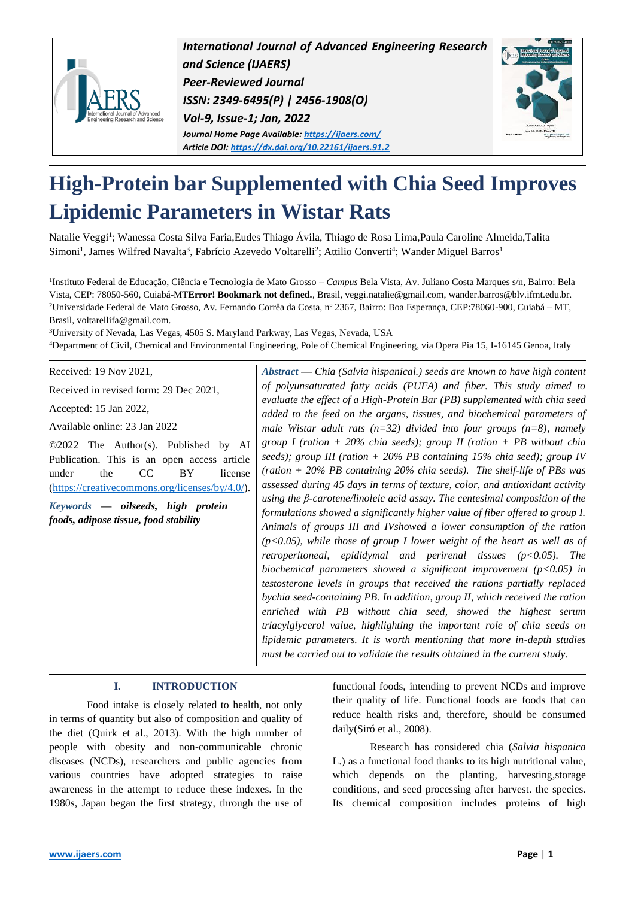

*International Journal of Advanced Engineering Research and Science (IJAERS) Peer-Reviewed Journal ISSN: 2349-6495(P) | 2456-1908(O) Vol-9, Issue-1; Jan, 2022 Journal Home Page Available[: https://ijaers.com/](https://ijaers.com/) Article DOI[: https://dx.doi.org/10.22161/ijaers.91.2](https://dx.doi.org/10.22161/ijaers.91.2)*



# **High-Protein bar Supplemented with Chia Seed Improves Lipidemic Parameters in Wistar Rats**

Natalie Veggi<sup>1</sup>; Wanessa Costa Silva Faria,Eudes Thiago Ávila, Thiago de Rosa Lima,Paula Caroline Almeida,Talita Simoni<sup>1</sup>, James Wilfred Navalta<sup>3</sup>, Fabrício Azevedo Voltarelli<sup>2</sup>; Attilio Converti<sup>4</sup>; Wander Miguel Barros<sup>1</sup>

1 Instituto Federal de Educação, Ciência e Tecnologia de Mato Grosso – *Campus* Bela Vista, Av. Juliano Costa Marques s/n, Bairro: Bela Vista, CEP: 78050-560, Cuiabá-MT**Error! Bookmark not defined.**, Brasil[, veggi.natalie@gmail.com,](mailto:veggi.natalie@gmail.com) wander.barros@blv.ifmt.edu.br. <sup>2</sup>Universidade Federal de Mato Grosso, Av. Fernando Corrêa da Costa, nº 2367, Bairro: Boa Esperança, CEP:78060-900, Cuiabá – MT, Brasil, voltarellifa@gmail.com.

<sup>3</sup>University of Nevada, Las Vegas, 4505 S. Maryland Parkway, Las Vegas, Nevada, USA <sup>4</sup>Department of Civil, Chemical and Environmental Engineering, Pole of Chemical Engineering, via Opera Pia 15, I-16145 Genoa, Italy

Received: 19 Nov 2021,

Received in revised form: 29 Dec 2021,

Accepted: 15 Jan 2022,

Available online: 23 Jan 2022

©2022 The Author(s). Published by AI Publication. This is an open access article under the CC BY license [\(https://creativecommons.org/licenses/by/4.0/\)](https://creativecommons.org/licenses/by/4.0/).

*Keywords* **—** *oilseeds, high protein foods, adipose tissue, food stability*

*Abstract* **—** *Chia (Salvia hispanical.) seeds are known to have high content of polyunsaturated fatty acids (PUFA) and fiber. This study aimed to evaluate the effect of a High-Protein Bar (PB) supplemented with chia seed added to the feed on the organs, tissues, and biochemical parameters of male Wistar adult rats (n=32) divided into four groups (n=8), namely group I (ration + 20% chia seeds); group II (ration + PB without chia seeds); group III (ration + 20% PB containing 15% chia seed); group IV (ration + 20% PB containing 20% chia seeds). The shelf-life of PBs was assessed during 45 days in terms of texture, color, and antioxidant activity using the β-carotene/linoleic acid assay. The centesimal composition of the formulations showed a significantly higher value of fiber offered to group I. Animals of groups III and IVshowed a lower consumption of the ration (p<0.05), while those of group I lower weight of the heart as well as of retroperitoneal, epididymal and perirenal tissues (p<0.05). The biochemical parameters showed a significant improvement (p<0.05) in testosterone levels in groups that received the rations partially replaced bychia seed-containing PB. In addition, group II, which received the ration enriched with PB without chia seed, showed the highest serum triacylglycerol value, highlighting the important role of chia seeds on lipidemic parameters. It is worth mentioning that more in-depth studies must be carried out to validate the results obtained in the current study.*

## **I. INTRODUCTION**

Food intake is closely related to health, not only in terms of quantity but also of composition and quality of the diet (Quirk et al., 2013). With the high number of people with obesity and non-communicable chronic diseases (NCDs), researchers and public agencies from various countries have adopted strategies to raise awareness in the attempt to reduce these indexes. In the 1980s, Japan began the first strategy, through the use of functional foods, intending to prevent NCDs and improve their quality of life. Functional foods are foods that can reduce health risks and, therefore, should be consumed daily(Siró et al., 2008).

Research has considered chia (*Salvia hispanica* L.) as a functional food thanks to its high nutritional value, which depends on the planting, harvesting,storage conditions, and seed processing after harvest. the species. Its chemical composition includes proteins of high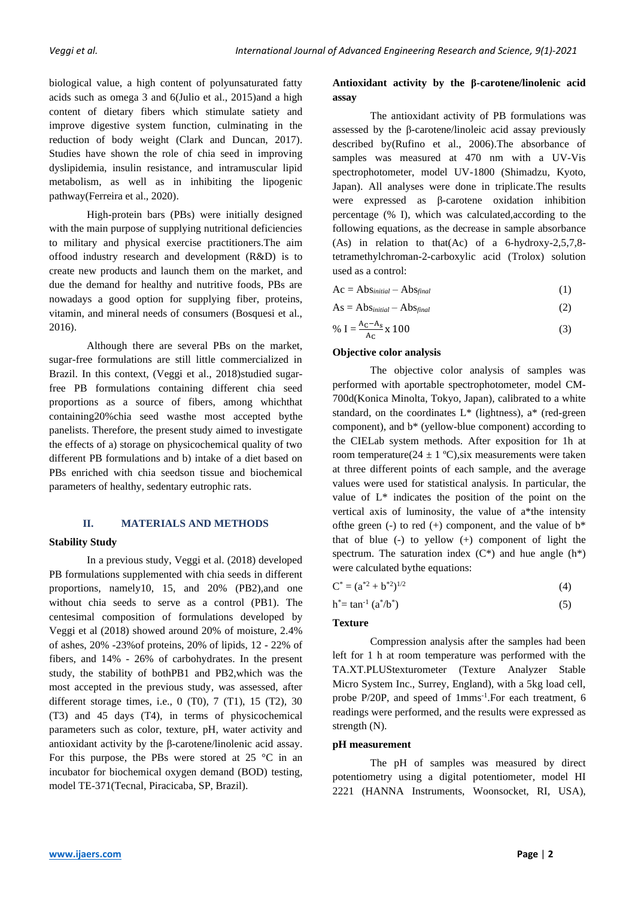biological value, a high content of polyunsaturated fatty acids such as omega 3 and 6(Julio et al., 2015)and a high content of dietary fibers which stimulate satiety and improve digestive system function, culminating in the reduction of body weight (Clark and Duncan, 2017). Studies have shown the role of chia seed in improving dyslipidemia, insulin resistance, and intramuscular lipid metabolism, as well as in inhibiting the lipogenic pathway(Ferreira et al., 2020).

High-protein bars (PBs) were initially designed with the main purpose of supplying nutritional deficiencies to military and physical exercise practitioners.The aim offood industry research and development (R&D) is to create new products and launch them on the market, and due the demand for healthy and nutritive foods, PBs are nowadays a good option for supplying fiber, proteins, vitamin, and mineral needs of consumers (Bosquesi et al., 2016).

Although there are several PBs on the market, sugar-free formulations are still little commercialized in Brazil. In this context, (Veggi et al., 2018)studied sugarfree PB formulations containing different chia seed proportions as a source of fibers, among whichthat containing20%chia seed wasthe most accepted bythe panelists. Therefore, the present study aimed to investigate the effects of a) storage on physicochemical quality of two different PB formulations and b) intake of a diet based on PBs enriched with chia seedson tissue and biochemical parameters of healthy, sedentary eutrophic rats.

## **II. MATERIALS AND METHODS**

# **Stability Study**

In a previous study, Veggi et al. (2018) developed PB formulations supplemented with chia seeds in different proportions, namely10, 15, and 20% (PB2),and one without chia seeds to serve as a control (PB1). The centesimal composition of formulations developed by Veggi et al (2018) showed around 20% of moisture, 2.4% of ashes, 20% -23%of proteins, 20% of lipids, 12 - 22% of fibers, and 14% - 26% of carbohydrates. In the present study, the stability of bothPB1 and PB2,which was the most accepted in the previous study, was assessed, after different storage times, i.e., 0 (T0), 7 (T1), 15 (T2), 30 (T3) and 45 days (T4), in terms of physicochemical parameters such as color, texture, pH, water activity and antioxidant activity by the β-carotene/linolenic acid assay. For this purpose, the PBs were stored at  $25 \degree C$  in an incubator for biochemical oxygen demand (BOD) testing, model TE-371(Tecnal, Piracicaba, SP, Brazil).

# **Antioxidant activity by the β-carotene/linolenic acid assay**

The antioxidant activity of PB formulations was assessed by the β-carotene/linoleic acid assay previously described by(Rufino et al., 2006).The absorbance of samples was measured at 470 nm with a UV-Vis spectrophotometer, model UV-1800 (Shimadzu, Kyoto, Japan). All analyses were done in triplicate.The results were expressed as β-carotene oxidation inhibition percentage (% I), which was calculated,according to the following equations, as the decrease in sample absorbance (As) in relation to that(Ac) of a 6-hydroxy-2,5,7,8 tetramethylchroman-2-carboxylic acid (Trolox) solution used as a control:

$$
Ac = Absinitial - Absfinal
$$
 (1)

$$
As = Absinitial - Absfinal
$$
 (2)

% 
$$
I = \frac{A_C - A_S}{A_C} \times 100
$$
 (3)

## **Objective color analysis**

The objective color analysis of samples was performed with aportable spectrophotometer, model CM-700d(Konica Minolta, Tokyo, Japan), calibrated to a white standard, on the coordinates  $L^*$  (lightness),  $a^*$  (red-green component), and b\* (yellow-blue component) according to the CIELab system methods. After exposition for 1h at room temperature( $24 \pm 1$  °C), six measurements were taken at three different points of each sample, and the average values were used for statistical analysis. In particular, the value of L\* indicates the position of the point on the vertical axis of luminosity, the value of a\*the intensity of the green (-) to red (+) component, and the value of  $b^*$ that of blue (-) to yellow (+) component of light the spectrum. The saturation index  $(C^*)$  and hue angle  $(h^*)$ were calculated bythe equations:

$$
C^* = (a^{*2} + b^{*2})^{1/2}
$$
 (4)

$$
h^* = \tan^{-1}(a^*/b^*)
$$
 (5)

# **Texture**

Compression analysis after the samples had been left for 1 h at room temperature was performed with the TA.XT.PLUStexturometer (Texture Analyzer Stable Micro System Inc., Surrey, England), with a 5kg load cell, probe P/20P, and speed of 1mms<sup>-1</sup>. For each treatment, 6 readings were performed, and the results were expressed as strength (N).

## **pH measurement**

The pH of samples was measured by direct potentiometry using a digital potentiometer, model HI 2221 (HANNA Instruments, Woonsocket, RI, USA),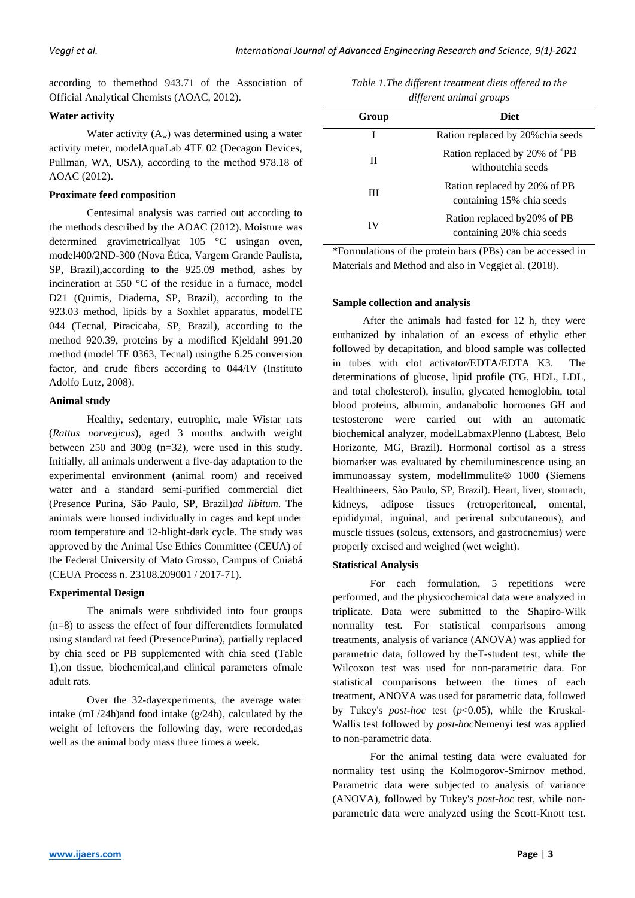according to themethod 943.71 of the Association of Official Analytical Chemists (AOAC, 2012).

# **Water activity**

Water activity  $(A_w)$  was determined using a water activity meter, modelAquaLab 4TE 02 (Decagon Devices, Pullman, WA, USA), according to the method 978.18 of AOAC (2012).

# **Proximate feed composition**

Centesimal analysis was carried out according to the methods described by the [AOAC](http://www.scielo.br/scielo.php?script=sci_arttext&pid=S0101-20612018000500306#B001) (2012). Moisture was determined gravimetricallyat 105 °C usingan oven, model400/2ND-300 (Nova Ética, Vargem Grande Paulista, SP, Brazil),according to the 925.09 method, ashes by incineration at 550 °C of the residue in a furnace, model D21 (Quimis, Diadema, SP, Brazil), according to the 923.03 method, lipids by a Soxhlet apparatus, modelTE 044 (Tecnal, Piracicaba, SP, Brazil), according to the method 920.39, proteins by a modified Kjeldahl 991.20 method (model TE 0363, Tecnal) usingthe 6.25 conversion factor, and crude fibers according to 044/IV (Instituto Adolfo Lutz, 2008).

## **Animal study**

Healthy, sedentary, eutrophic, male Wistar rats (*Rattus norvegicus*), aged 3 months andwith weight between 250 and 300g (n=32), were used in this study. Initially, all animals underwent a five-day adaptation to the experimental environment (animal room) and received water and a standard semi-purified commercial diet (Presence Purina, São Paulo, SP, Brazil)*ad libitum*. The animals were housed individually in cages and kept under room temperature and 12-hlight-dark cycle. The study was approved by the Animal Use Ethics Committee (CEUA) of the Federal University of Mato Grosso, Campus of Cuiabá (CEUA Process n. 23108.209001 / 2017-71).

## **Experimental Design**

The animals were subdivided into four groups (n=8) to assess the effect of four differentdiets formulated using standard rat feed (PresencePurina), partially replaced by chia seed or PB supplemented with chia seed (Table 1),on tissue, biochemical,and clinical parameters ofmale adult rats.

Over the 32-dayexperiments, the average water intake (mL/24h)and food intake (g/24h), calculated by the weight of leftovers the following day, were recorded,as well as the animal body mass three times a week.

| Table 1. The different treatment diets offered to the |
|-------------------------------------------------------|
| different animal groups                               |

| Group | <b>Diet</b>                                               |
|-------|-----------------------------------------------------------|
| I     | Ration replaced by 20% chia seeds                         |
| Н     | Ration replaced by 20% of *PB<br>withoutchia seeds        |
| Ш     | Ration replaced by 20% of PB<br>containing 15% chia seeds |
| IV    | Ration replaced by 20% of PB<br>containing 20% chia seeds |

\*Formulations of the protein bars (PBs) can be accessed in Materials and Method and also in Veggiet al. (2018).

## **Sample collection and analysis**

After the animals had fasted for 12 h, they were euthanized by inhalation of an excess of ethylic ether followed by decapitation, and blood sample was collected in tubes with clot activator/EDTA/EDTA K3. The determinations of glucose, lipid profile (TG, HDL, LDL, and total cholesterol), insulin, glycated hemoglobin, total blood proteins, albumin, andanabolic hormones GH and testosterone were carried out with an automatic biochemical analyzer, modelLabmaxPlenno (Labtest, Belo Horizonte, MG, Brazil). Hormonal cortisol as a stress biomarker was evaluated by chemiluminescence using an immunoassay system, modelImmulite® 1000 (Siemens Healthineers, São Paulo, SP, Brazil). Heart, liver, stomach, kidneys, adipose tissues (retroperitoneal, omental, epididymal, inguinal, and perirenal subcutaneous), and muscle tissues (soleus, extensors, and gastrocnemius) were properly excised and weighed (wet weight).

# **Statistical Analysis**

For each formulation, 5 repetitions were performed, and the physicochemical data were analyzed in triplicate. Data were submitted to the Shapiro-Wilk normality test. For statistical comparisons among treatments, analysis of variance (ANOVA) was applied for parametric data, followed by theT-student test, while the Wilcoxon test was used for non-parametric data. For statistical comparisons between the times of each treatment, ANOVA was used for parametric data, followed by Tukey's *post-hoc* test (*p*<0.05), while the Kruskal-Wallis test followed by *post-hoc*Nemenyi test was applied to non-parametric data.

For the animal testing data were evaluated for normality test using the Kolmogorov-Smirnov method. Parametric data were subjected to analysis of variance (ANOVA), followed by Tukey's *post-hoc* test, while nonparametric data were analyzed using the Scott-Knott test.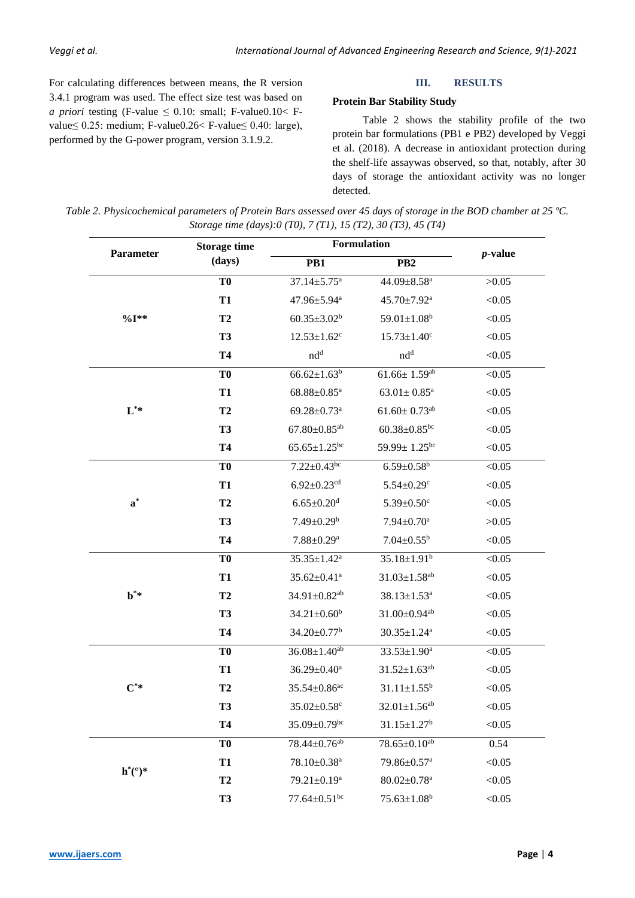For calculating differences between means, the R version 3.4.1 program was used. The effect size test was based on *a priori* testing (F-value  $\leq$  0.10: small; F-value 0.10  $\lt$  Fvalue≤ 0.25: medium; F-value0.26< F-value≤ 0.40: large), performed by the G-power program, version 3.1.9.2.

#### **III. RESULTS**

# **Protein Bar Stability Study**

Table 2 shows the stability profile of the two protein bar formulations (PB1 e PB2) developed by Veggi et al. (2018). A decrease in antioxidant protection during the shelf-life assaywas observed, so that, notably, after 30 days of storage the antioxidant activity was no longer detected.

| Table 2. Physicochemical parameters of Protein Bars assessed over 45 days of storage in the BOD chamber at 25 °C. |  |
|-------------------------------------------------------------------------------------------------------------------|--|
| Storage time (days):0 (T0), 7 (T1), 15 (T2), 30 (T3), 45 (T4)                                                     |  |

| Parameter         | <b>Storage time</b> |                                | Formulation                    | <i>p</i> -value |  |
|-------------------|---------------------|--------------------------------|--------------------------------|-----------------|--|
|                   | (days)              | PB1                            | PB <sub>2</sub>                |                 |  |
|                   | T <sub>0</sub>      | $37.14 \pm 5.75$ <sup>a</sup>  | 44.09 $\pm$ 8.58 <sup>a</sup>  | >0.05           |  |
|                   | <b>T1</b>           | 47.96±5.94 <sup>a</sup>        | 45.70±7.92 <sup>a</sup>        | < 0.05          |  |
| $\%I^{**}$        | T2                  | $60.35 \pm 3.02^b$             | $59.01 \pm 1.08$ <sup>b</sup>  | < 0.05          |  |
|                   | <b>T3</b>           | $12.53 \pm 1.62$ <sup>c</sup>  | $15.73 \pm 1.40$ <sup>c</sup>  | < 0.05          |  |
|                   | <b>T4</b>           | nd <sup>d</sup>                | nd <sup>d</sup>                | < 0.05          |  |
|                   | T <sub>0</sub>      | $66.62 \pm 1.63^b$             | $61.66 \pm 1.59$ <sup>ab</sup> | < 0.05          |  |
|                   | <b>T1</b>           | $68.88 \pm 0.85$ <sup>a</sup>  | $63.01 \pm 0.85$ <sup>a</sup>  | < 0.05          |  |
| $L^*$             | T <sub>2</sub>      | $69.28 \pm 0.73$ <sup>a</sup>  | $61.60 \pm 0.73$ <sup>ab</sup> | < 0.05          |  |
|                   | <b>T3</b>           | $67.80 \pm 0.85$ <sup>ab</sup> | $60.38 \pm 0.85$ bc            | < 0.05          |  |
|                   | <b>T4</b>           | $65.65 \pm 1.25$ <sup>bc</sup> | 59.99 $\pm$ 1.25 <sup>bc</sup> | < 0.05          |  |
|                   | T <sub>0</sub>      | $7.22 \pm 0.43$ <sup>bc</sup>  | $6.59 \pm 0.58$ <sup>b</sup>   | < 0.05          |  |
|                   | <b>T1</b>           | $6.92 \pm 0.23$ <sup>cd</sup>  | $5.54 \pm 0.29$ <sup>c</sup>   | < 0.05          |  |
| $\mathbf{a}^*$    | T2                  | $6.65 \pm 0.20$ <sup>d</sup>   | $5.39 \pm 0.50$ <sup>c</sup>   | < 0.05          |  |
|                   | <b>T3</b>           | $7.49 \pm 0.29^b$              | $7.94 \pm 0.70$ <sup>a</sup>   | >0.05           |  |
|                   | <b>T4</b>           | $7.88 \pm 0.29$ <sup>a</sup>   | $7.04 \pm 0.55^b$              | < 0.05          |  |
|                   | T <sub>0</sub>      | $35.35 \pm 1.42^a$             | $35.18 \pm 1.91^b$             | < 0.05          |  |
|                   | T <sub>1</sub>      | $35.62 \pm 0.41$ <sup>a</sup>  | $31.03 \pm 1.58$ <sup>ab</sup> | < 0.05          |  |
| $\mathbf{b}^*$    | T2                  | 34.91±0.82 <sup>ab</sup>       | $38.13 \pm 1.53$ <sup>a</sup>  | < 0.05          |  |
|                   | <b>T3</b>           | $34.21 \pm 0.60^b$             | $31.00 \pm 0.94$ <sup>ab</sup> | < 0.05          |  |
|                   | <b>T4</b>           | $34.20 \pm 0.77$ <sup>b</sup>  | $30.35 \pm 1.24$ <sup>a</sup>  | < 0.05          |  |
|                   | T <sub>0</sub>      | $36.08 \pm 1.40^{ab}$          | $33.53 \pm 1.90^a$             | < 0.05          |  |
|                   | <b>T1</b>           | $36.29 \pm 0.40^a$             | $31.52 \pm 1.63^{ab}$          | < 0.05          |  |
| $\mathrm{C}^{**}$ | T2                  | $35.54 \pm 0.86$ <sup>ac</sup> | $31.11 \pm 1.55^b$             | < 0.05          |  |
|                   | <b>T3</b>           | $35.02 \pm 0.58$ c             | $32.01 \pm 1.56$ <sup>ab</sup> | < 0.05          |  |
|                   | <b>T4</b>           | $35.09 \pm 0.79$ <sup>bc</sup> | $31.15 \pm 1.27$ <sup>b</sup>  | < 0.05          |  |
|                   | T <sub>0</sub>      | 78.44±0.76 <sup>ab</sup>       | $78.65 \pm 0.10^{ab}$          | 0.54            |  |
|                   | <b>T1</b>           | 78.10±0.38 <sup>a</sup>        | 79.86±0.57 <sup>a</sup>        | < 0.05          |  |
| $h^*(°)$ *        | T2                  | 79.21±0.19 <sup>a</sup>        | $80.02 \pm 0.78$ <sup>a</sup>  | < 0.05          |  |
|                   | <b>T3</b>           | $77.64 \pm 0.51$ bc            | $75.63 \pm 1.08^b$             | < 0.05          |  |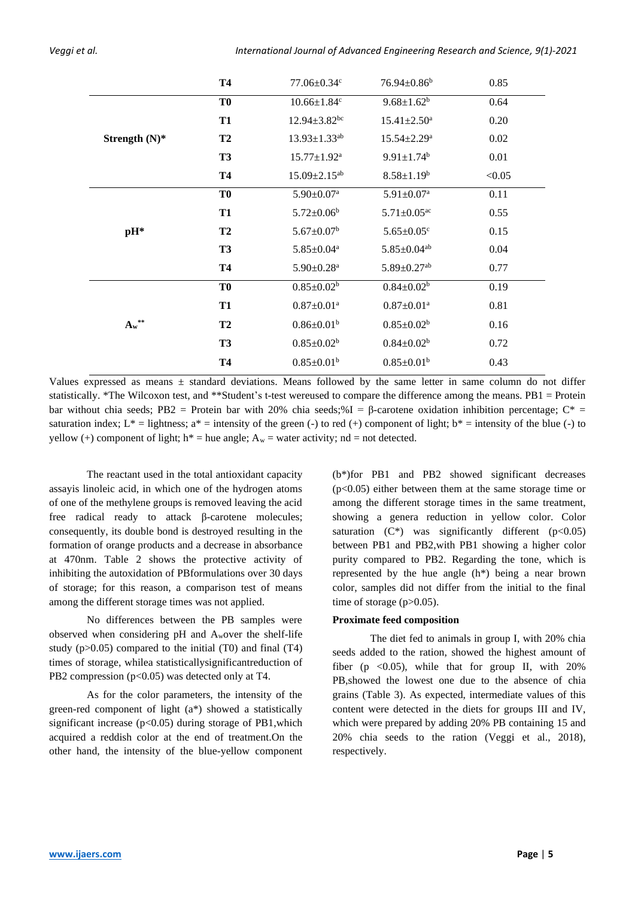|                  | <b>T4</b>      | $77.06 \pm 0.34$ c             | $76.94 \pm 0.86^b$            | 0.85   |
|------------------|----------------|--------------------------------|-------------------------------|--------|
|                  | T <sub>0</sub> | $10.66 \pm 1.84$ c             | $9.68 \pm 1.62^b$             | 0.64   |
|                  | <b>T1</b>      | $12.94 \pm 3.82$ <sup>bc</sup> | $15.41 \pm 2.50$ <sup>a</sup> | 0.20   |
| Strength $(N)^*$ | T2             | $13.93 \pm 1.33$ <sup>ab</sup> | $15.54 \pm 2.29^{\mathrm{a}}$ | 0.02   |
|                  | <b>T3</b>      | $15.77 \pm 1.92^{\text{a}}$    | $9.91 \pm 1.74$ <sup>b</sup>  | 0.01   |
|                  | <b>T4</b>      | $15.09 \pm 2.15^{ab}$          | $8.58 \pm 1.19^b$             | < 0.05 |
|                  | T <sub>0</sub> | $5.90 \pm 0.07$ <sup>a</sup>   | $5.91 \pm 0.07$ <sup>a</sup>  | 0.11   |
|                  | <b>T1</b>      | $5.72 \pm 0.06^b$              | $5.71 \pm 0.05$ <sup>ac</sup> | 0.55   |
| $pH^*$           | T2             | $5.67 \pm 0.07^b$              | $5.65 \pm 0.05$ <sup>c</sup>  | 0.15   |
|                  | <b>T3</b>      | $5.85 \pm 0.04^a$              | $5.85 \pm 0.04$ <sup>ab</sup> | 0.04   |
|                  | <b>T4</b>      | $5.90 \pm 0.28$ <sup>a</sup>   | $5.89 \pm 0.27$ <sup>ab</sup> | 0.77   |
|                  | T <sub>0</sub> | $0.85 \pm 0.02^b$              | $0.84 \pm 0.02^b$             | 0.19   |
|                  | <b>T1</b>      | $0.87 \pm 0.01$ <sup>a</sup>   | $0.87 \pm 0.01$ <sup>a</sup>  | 0.81   |
| $A_w^{\ast\ast}$ | T <sub>2</sub> | $0.86 \pm 0.01^b$              | $0.85 \pm 0.02^b$             | 0.16   |
|                  | <b>T3</b>      | $0.85 \pm 0.02^b$              | $0.84 \pm 0.02^b$             | 0.72   |
|                  | <b>T4</b>      | $0.85 \pm 0.01^b$              | $0.85 \pm 0.01^b$             | 0.43   |

Values expressed as means ± standard deviations. Means followed by the same letter in same column do not differ statistically. \*The Wilcoxon test, and \*\*Student's t-test wereused to compare the difference among the means. PB1 = Protein bar without chia seeds; PB2 = Protein bar with 20% chia seeds;%I = β-carotene oxidation inhibition percentage;  $C^*$  = saturation index;  $L^* =$  lightness;  $a^* =$  intensity of the green (-) to red (+) component of light;  $b^* =$  intensity of the blue (-) to yellow (+) component of light;  $h^*$  = hue angle;  $A_w$  = water activity; nd = not detected.

The reactant used in the total antioxidant capacity assayis linoleic acid, in which one of the hydrogen atoms of one of the methylene groups is removed leaving the acid free radical ready to attack β-carotene molecules; consequently, its double bond is destroyed resulting in the formation of orange products and a decrease in absorbance at 470nm. Table 2 shows the protective activity of inhibiting the autoxidation of PBformulations over 30 days of storage; for this reason, a comparison test of means among the different storage times was not applied.

No differences between the PB samples were observed when considering pH and Awover the shelf-life study  $(p>0.05)$  compared to the initial (T0) and final (T4) times of storage, whilea statisticallysignificantreduction of PB2 compression  $(p<0.05)$  was detected only at T4.

As for the color parameters, the intensity of the green-red component of light (a\*) showed a statistically significant increase  $(p<0.05)$  during storage of PB1, which acquired a reddish color at the end of treatment.On the other hand, the intensity of the blue-yellow component (b\*)for PB1 and PB2 showed significant decreases (p<0.05) either between them at the same storage time or among the different storage times in the same treatment, showing a genera reduction in yellow color. Color saturation  $(C^*)$  was significantly different  $(p<0.05)$ between PB1 and PB2,with PB1 showing a higher color purity compared to PB2. Regarding the tone, which is represented by the hue angle (h\*) being a near brown color, samples did not differ from the initial to the final time of storage  $(p>0.05)$ .

## **Proximate feed composition**

The diet fed to animals in group I, with 20% chia seeds added to the ration, showed the highest amount of fiber (p  $\langle 0.05 \rangle$ , while that for group II, with 20% PB,showed the lowest one due to the absence of chia grains (Table 3). As expected, intermediate values of this content were detected in the diets for groups III and IV, which were prepared by adding 20% PB containing 15 and 20% chia seeds to the ration (Veggi et al., 2018), respectively.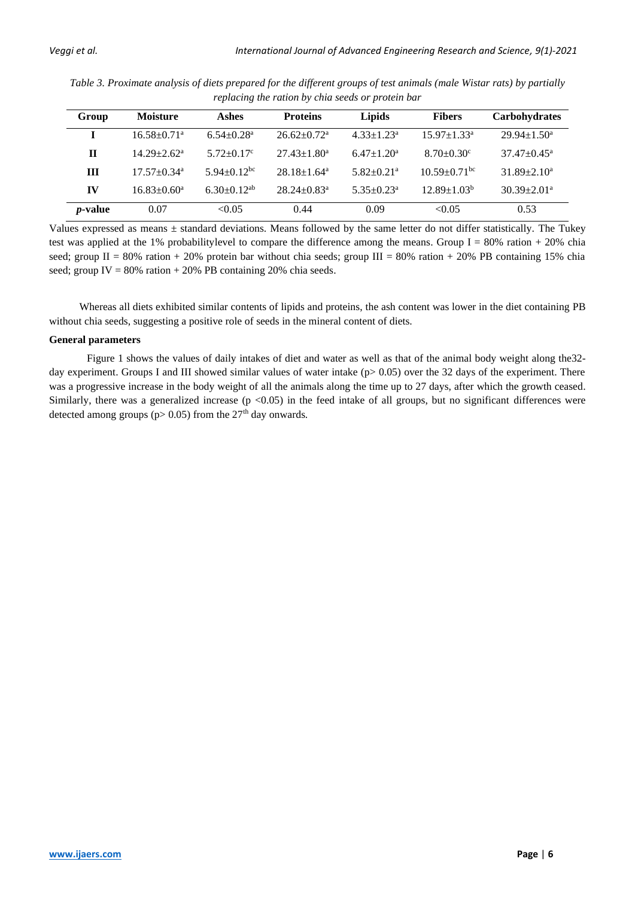| Group           | <b>Moisture</b>               | Ashes                      | <b>Proteins</b>               | Lipids                     | <b>Fibers</b>                | <b>Carbohydrates</b>        |
|-----------------|-------------------------------|----------------------------|-------------------------------|----------------------------|------------------------------|-----------------------------|
|                 | $16.58 \pm 0.71$ <sup>a</sup> | $6.54 + 0.28$ <sup>a</sup> | $26.62 \pm 0.72$ <sup>a</sup> | $4.33 + 1.23^a$            | $15.97 + 1.33a$              | $29.94 + 1.50^{\circ}$      |
| $\mathbf H$     | $14.29 + 2.62^a$              | $5.72+0.17^c$              | $27.43 \pm 1.80^a$            | $6.47 \pm 1.20^a$          | $8.70 \pm 0.30$ <sup>c</sup> | $37.47 + 0.45^{\circ}$      |
| Ш               | $17.57 + 0.34$ <sup>a</sup>   | $5.94+0.12^{bc}$           | $28.18 + 1.64$ <sup>a</sup>   | $5.82 + 0.21$ <sup>a</sup> | $10.59 + 0.71$ <sup>bc</sup> | $31.89 + 2.10a$             |
| IV              | $16.83 \pm 0.60^a$            | $6.30+0.12^{ab}$           | $28.24 \pm 0.83$ <sup>a</sup> | $5.35 + 0.23^a$            | $12.89 \pm 1.03^b$           | $30.39 \pm 2.01^{\text{a}}$ |
| <i>p</i> -value | 0.07                          | < 0.05                     | 0.44                          | 0.09                       | < 0.05                       | 0.53                        |

*Table 3. Proximate analysis of diets prepared for the different groups of test animals (male Wistar rats) by partially replacing the ration by chia seeds or protein bar*

Values expressed as means ± standard deviations. Means followed by the same letter do not differ statistically. The Tukey test was applied at the 1% probabilitylevel to compare the difference among the means. Group  $I = 80\%$  ration + 20% chia seed; group II = 80% ration + 20% protein bar without chia seeds; group III = 80% ration + 20% PB containing 15% chia seed; group IV =  $80\%$  ration +  $20\%$  PB containing 20% chia seeds.

Whereas all diets exhibited similar contents of lipids and proteins, the ash content was lower in the diet containing PB without chia seeds, suggesting a positive role of seeds in the mineral content of diets.

## **General parameters**

Figure 1 shows the values of daily intakes of diet and water as well as that of the animal body weight along the32 day experiment. Groups I and III showed similar values of water intake  $(p>0.05)$  over the 32 days of the experiment. There was a progressive increase in the body weight of all the animals along the time up to 27 days, after which the growth ceased. Similarly, there was a generalized increase  $(p \lt 0.05)$  in the feed intake of all groups, but no significant differences were detected among groups ( $p$  > 0.05) from the 27<sup>th</sup> day onwards.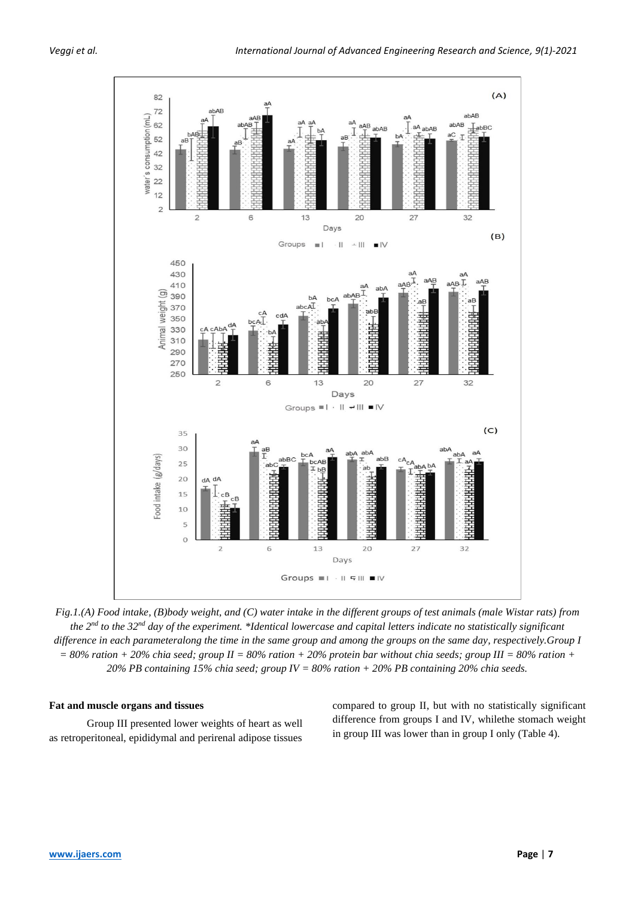

*Fig.1.(A) Food intake, (B)body weight, and (C) water intake in the different groups of test animals (male Wistar rats) from the 2nd to the 32nd day of the experiment. \*Identical lowercase and capital letters indicate no statistically significant difference in each parameteralong the time in the same group and among the groups on the same day, respectively.Group I*   $= 80\%$  ration + 20% chia seed; group II = 80% ration + 20% protein bar without chia seeds; group III = 80% ration + *20% PB containing 15% chia seed; group IV = 80% ration + 20% PB containing 20% chia seeds.*

## **Fat and muscle organs and tissues**

Group III presented lower weights of heart as well as retroperitoneal, epididymal and perirenal adipose tissues compared to group II, but with no statistically significant difference from groups I and IV, whilethe stomach weight in group III was lower than in group I only (Table 4).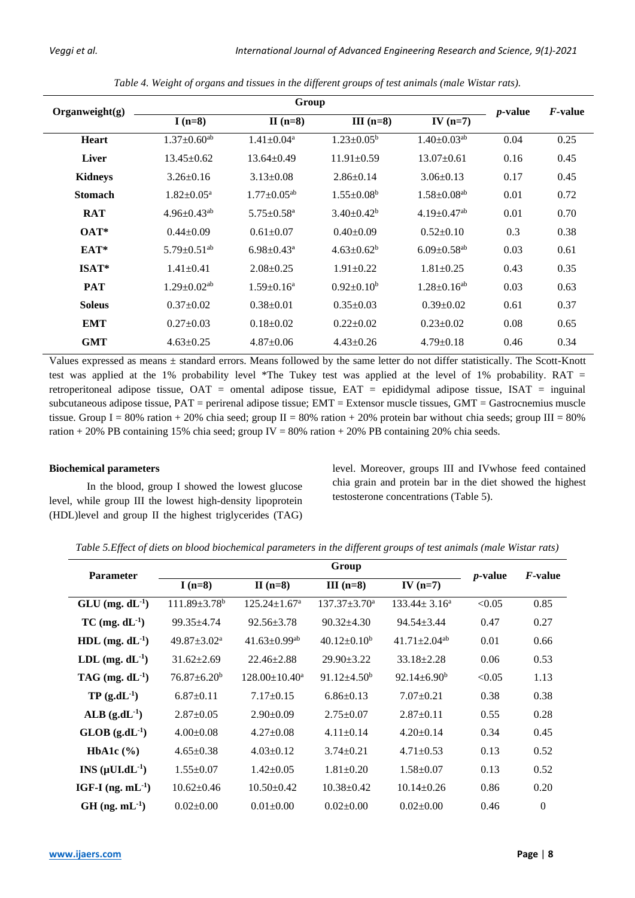| Organweight(g) | Group                         |                               |                   |                               |                 | <i>F</i> -value |
|----------------|-------------------------------|-------------------------------|-------------------|-------------------------------|-----------------|-----------------|
|                | $I(n=8)$                      | $II(n=8)$                     | III $(n=8)$       | IV $(n=7)$                    | <i>p</i> -value |                 |
| <b>Heart</b>   | $1.37 \pm 0.60$ <sup>ab</sup> | $1.41 \pm 0.04$ <sup>a</sup>  | $1.23 \pm 0.05^b$ | $1.40 \pm 0.03$ <sup>ab</sup> | 0.04            | 0.25            |
| <b>Liver</b>   | $13.45 \pm 0.62$              | $13.64 \pm 0.49$              | $11.91 \pm 0.59$  | $13.07 \pm 0.61$              | 0.16            | 0.45            |
| Kidneys        | $3.26 \pm 0.16$               | $3.13 \pm 0.08$               | $2.86 \pm 0.14$   | $3.06 \pm 0.13$               | 0.17            | 0.45            |
| <b>Stomach</b> | $1.82 \pm 0.05^{\text{a}}$    | $1.77 \pm 0.05$ <sup>ab</sup> | $1.55 \pm 0.08^b$ | $1.58 \pm 0.08$ <sup>ab</sup> | 0.01            | 0.72            |
| <b>RAT</b>     | $4.96 \pm 0.43^{ab}$          | $5.75 \pm 0.58$ <sup>a</sup>  | $3.40 \pm 0.42^b$ | $4.19 \pm 0.47$ <sup>ab</sup> | 0.01            | 0.70            |
| $OAT*$         | $0.44 \pm 0.09$               | $0.61 \pm 0.07$               | $0.40+0.09$       | $0.52 \pm 0.10$               | 0.3             | 0.38            |
| EAT*           | $5.79 \pm 0.51$ <sup>ab</sup> | $6.98 \pm 0.43$ <sup>a</sup>  | $4.63 \pm 0.62^b$ | $6.09 \pm 0.58$ <sup>ab</sup> | 0.03            | 0.61            |
| $ISAT*$        | $1.41 \pm 0.41$               | $2.08 + 0.25$                 | $1.91 \pm 0.22$   | $1.81 \pm 0.25$               | 0.43            | 0.35            |
| <b>PAT</b>     | $1.29 \pm 0.02$ <sup>ab</sup> | $1.59 \pm 0.16^a$             | $0.92+0.10b$      | $1.28 \pm 0.16^{ab}$          | 0.03            | 0.63            |
| <b>Soleus</b>  | $0.37 \pm 0.02$               | $0.38 \pm 0.01$               | $0.35 \pm 0.03$   | $0.39 \pm 0.02$               | 0.61            | 0.37            |
| <b>EMT</b>     | $0.27 \pm 0.03$               | $0.18 \pm 0.02$               | $0.22+0.02$       | $0.23 \pm 0.02$               | 0.08            | 0.65            |
| <b>GMT</b>     | $4.63+0.25$                   | $4.87 \pm 0.06$               | $4.43 \pm 0.26$   | $4.79 \pm 0.18$               | 0.46            | 0.34            |

*Table 4. Weight of organs and tissues in the different groups of test animals (male Wistar rats).*

Values expressed as means ± standard errors. Means followed by the same letter do not differ statistically. The Scott-Knott test was applied at the 1% probability level \*The Tukey test was applied at the level of 1% probability. RAT = retroperitoneal adipose tissue, OAT = omental adipose tissue, EAT = epididymal adipose tissue, ISAT = inguinal subcutaneous adipose tissue, PAT = perirenal adipose tissue; EMT = Extensor muscle tissues, GMT = Gastrocnemius muscle tissue. Group I = 80% ration + 20% chia seed; group II = 80% ration + 20% protein bar without chia seeds; group III = 80% ration + 20% PB containing 15% chia seed; group IV = 80% ration + 20% PB containing 20% chia seeds.

# **Biochemical parameters**

In the blood, group I showed the lowest glucose level, while group III the lowest high-density lipoprotein (HDL)level and group II the highest triglycerides (TAG) level. Moreover, groups III and IVwhose feed contained chia grain and protein bar in the diet showed the highest testosterone concentrations (Table 5).

| <b>Parameter</b>             |                             |                                | Group               |                                |                 | <i>F</i> -value  |
|------------------------------|-----------------------------|--------------------------------|---------------------|--------------------------------|-----------------|------------------|
|                              | I $(n=8)$                   | $II(n=8)$                      | $III(n=8)$          | IV $(n=7)$                     | <i>p</i> -value |                  |
| $GLU$ (mg. $dL^{-1}$ )       | $111.89 \pm 3.78^b$         | $125.24 \pm 1.67$ <sup>a</sup> | $137.37 \pm 3.70^a$ | $133.44 \pm 3.16^a$            | < 0.05          | 0.85             |
| $TC$ (mg. $dL^{-1}$ )        | $99.35 \pm 4.74$            | $92.56 \pm 3.78$               | $90.32 \pm 4.30$    | $94.54 \pm 3.44$               | 0.47            | 0.27             |
| HDL $(mg, dL^{-1})$          | $49.87 \pm 3.02^{\text{a}}$ | $41.63 \pm 0.99$ <sup>ab</sup> | $40.12 \pm 0.10^b$  | $41.71 \pm 2.04$ <sup>ab</sup> | 0.01            | 0.66             |
| LDL $(mg, dL^{-1})$          | $31.62 \pm 2.69$            | $22.46 \pm 2.88$               | $29.90 \pm 3.22$    | $33.18 \pm 2.28$               | 0.06            | 0.53             |
| TAG (mg. $dL^{-1}$ )         | $76.87 + 6.20^b$            | $128.00 \pm 10.40^a$           | $91.12 + 4.50^b$    | $92.14 \pm 6.90^b$             | < 0.05          | 1.13             |
| $TP(g.dL^{-1})$              | $6.87 \pm 0.11$             | $7.17 \pm 0.15$                | $6.86\pm0.13$       | $7.07+0.21$                    | 0.38            | 0.38             |
| $ALB$ (g.dL <sup>-1</sup> )  | $2.87 \pm 0.05$             | $2.90 \pm 0.09$                | $2.75 \pm 0.07$     | $2.87 \pm 0.11$                | 0.55            | 0.28             |
| $GLOB$ (g.dL <sup>-1</sup> ) | $4.00 \pm 0.08$             | $4.27 \pm 0.08$                | $4.11 \pm 0.14$     | $4.20 \pm 0.14$                | 0.34            | 0.45             |
| HbA1c $(\% )$                | $4.65 \pm 0.38$             | $4.03 \pm 0.12$                | $3.74 \pm 0.21$     | $4.71 \pm 0.53$                | 0.13            | 0.52             |
| $INS (\mu U L dL^{-1})$      | $1.55 \pm 0.07$             | $1.42 \pm 0.05$                | $1.81 \pm 0.20$     | $1.58 \pm 0.07$                | 0.13            | 0.52             |
| IGF-I $(ng, mL^{-1})$        | $10.62 \pm 0.46$            | $10.50 \pm 0.42$               | $10.38 \pm 0.42$    | $10.14 \pm 0.26$               | 0.86            | 0.20             |
| $GH$ (ng. mL <sup>-1</sup> ) | $0.02 \pm 0.00$             | $0.01 + 0.00$                  | $0.02 \pm 0.00$     | $0.02 \pm 0.00$                | 0.46            | $\boldsymbol{0}$ |

*Table 5.Effect of diets on blood biochemical parameters in the different groups of test animals (male Wistar rats)*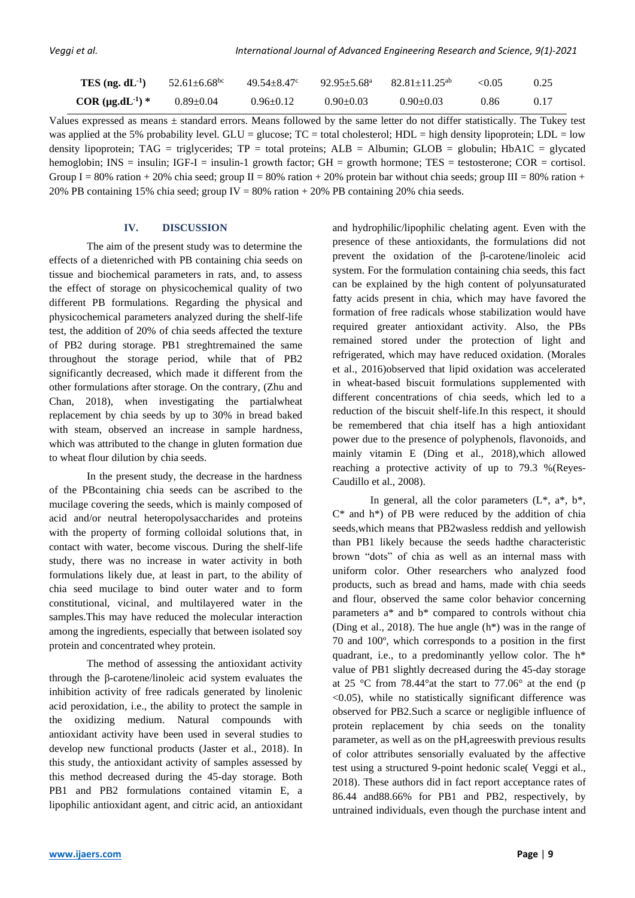| TES (ng. $dL^{-1}$ )    | $52.61 \pm 6.68$ <sup>bc</sup> | $49.54 \pm 8.47$ ° | $92.95 \pm 5.68$ <sup>a</sup> | $82.81 \pm 11.25^{ab}$ | < 0.05 | 0.25 |
|-------------------------|--------------------------------|--------------------|-------------------------------|------------------------|--------|------|
| COR $(\mu g.dL^{-1})$ * | $0.89 \pm 0.04$                | $0.96 \pm 0.12$    | $0.90 \pm 0.03$               | $0.90 \pm 0.03$        | 0.86   | 0.17 |

Values expressed as means ± standard errors. Means followed by the same letter do not differ statistically. The Tukey test was applied at the 5% probability level. GLU = glucose;  $TC =$  total cholesterol; HDL = high density lipoprotein; LDL = low density lipoprotein; TAG = triglycerides;  $TP =$  total proteins;  $ALB =$  Albumin;  $GLOB =$  globulin;  $HbA1C =$  glycated hemoglobin; INS = insulin; IGF-I = insulin-1 growth factor; GH = growth hormone; TES = testosterone; COR = cortisol. Group I = 80% ration + 20% chia seed; group II = 80% ration + 20% protein bar without chia seeds; group III = 80% ration + 20% PB containing 15% chia seed; group IV =  $80\%$  ration +  $20\%$  PB containing 20% chia seeds.

# **IV. DISCUSSION**

The aim of the present study was to determine the effects of a dietenriched with PB containing chia seeds on tissue and biochemical parameters in rats, and, to assess the effect of storage on physicochemical quality of two different PB formulations. Regarding the physical and physicochemical parameters analyzed during the shelf-life test, the addition of 20% of chia seeds affected the texture of PB2 during storage. PB1 streghtremained the same throughout the storage period, while that of PB2 significantly decreased, which made it different from the other formulations after storage. On the contrary, (Zhu and Chan, 2018), when investigating the partialwheat replacement by chia seeds by up to 30% in bread baked with steam, observed an increase in sample hardness, which was attributed to the change in gluten formation due to wheat flour dilution by chia seeds.

In the present study, the decrease in the hardness of the PBcontaining chia seeds can be ascribed to the mucilage covering the seeds, which is mainly composed of acid and/or neutral heteropolysaccharides and proteins with the property of forming colloidal solutions that, in contact with water, become viscous. During the shelf-life study, there was no increase in water activity in both formulations likely due, at least in part, to the ability of chia seed mucilage to bind outer water and to form constitutional, vicinal, and multilayered water in the samples.This may have reduced the molecular interaction among the ingredients, especially that between isolated soy protein and concentrated whey protein.

The method of assessing the antioxidant activity through the β-carotene/linoleic acid system evaluates the inhibition activity of free radicals generated by linolenic acid peroxidation, i.e., the ability to protect the sample in the oxidizing medium. Natural compounds with antioxidant activity have been used in several studies to develop new functional products (Jaster et al., 2018). In this study, the antioxidant activity of samples assessed by this method decreased during the 45-day storage. Both PB1 and PB2 formulations contained vitamin E, a lipophilic antioxidant agent, and citric acid, an antioxidant and hydrophilic/lipophilic chelating agent. Even with the presence of these antioxidants, the formulations did not prevent the oxidation of the β-carotene/linoleic acid system. For the formulation containing chia seeds, this fact can be explained by the high content of polyunsaturated fatty acids present in chia, which may have favored the formation of free radicals whose stabilization would have required greater antioxidant activity. Also, the PBs remained stored under the protection of light and refrigerated, which may have reduced oxidation. (Morales et al., 2016)observed that lipid oxidation was accelerated in wheat-based biscuit formulations supplemented with different concentrations of chia seeds, which led to a reduction of the biscuit shelf-life.In this respect, it should be remembered that chia itself has a high antioxidant power due to the presence of polyphenols, flavonoids, and mainly vitamin E (Ding et al., 2018),which allowed reaching a protective activity of up to 79.3 %(Reyes-Caudillo et al., 2008).

In general, all the color parameters  $(L^*, a^*, b^*,$  $C^*$  and  $h^*$ ) of PB were reduced by the addition of chia seeds,which means that PB2wasless reddish and yellowish than PB1 likely because the seeds hadthe characteristic brown "dots" of chia as well as an internal mass with uniform color. Other researchers who analyzed food products, such as bread and hams, made with chia seeds and flour, observed the same color behavior concerning parameters a\* and b\* compared to controls without chia (Ding et al., 2018). The hue angle (h\*) was in the range of 70 and 100º, which corresponds to a position in the first quadrant, i.e., to a predominantly yellow color. The h\* value of PB1 slightly decreased during the 45-day storage at 25 °C from 78.44°at the start to 77.06° at the end (p  $\leq$ 0.05), while no statistically significant difference was observed for PB2.Such a scarce or negligible influence of protein replacement by chia seeds on the tonality parameter, as well as on the pH,agreeswith previous results of color attributes sensorially evaluated by the affective test using a structured 9-point hedonic scale( Veggi et al., 2018). These authors did in fact report acceptance rates of 86.44 and88.66% for PB1 and PB2, respectively, by untrained individuals, even though the purchase intent and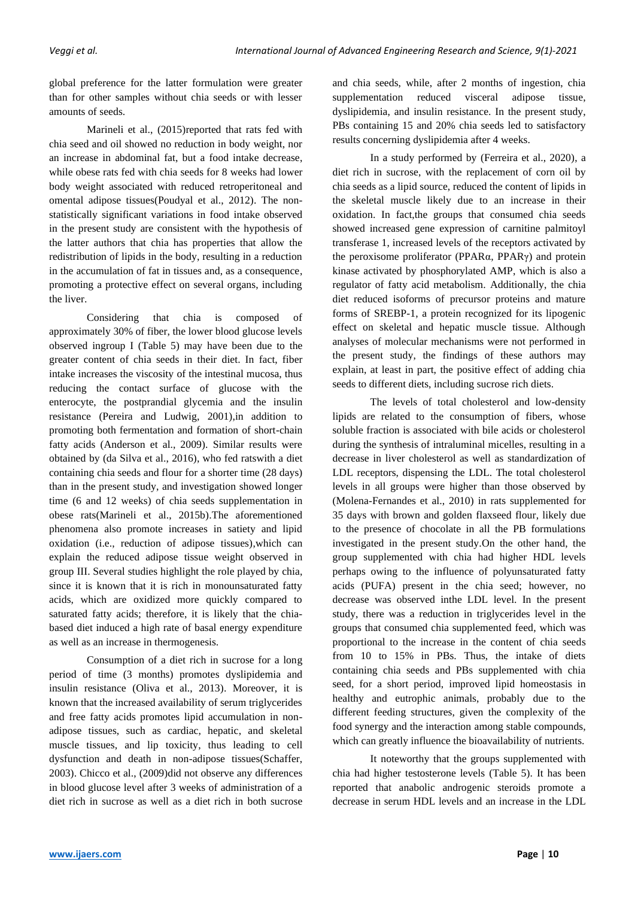global preference for the latter formulation were greater than for other samples without chia seeds or with lesser amounts of seeds.

Marineli et al., (2015)reported that rats fed with chia seed and oil showed no reduction in body weight, nor an increase in abdominal fat, but a food intake decrease, while obese rats fed with chia seeds for 8 weeks had lower body weight associated with reduced retroperitoneal and omental adipose tissues(Poudyal et al., 2012). The nonstatistically significant variations in food intake observed in the present study are consistent with the hypothesis of the latter authors that chia has properties that allow the redistribution of lipids in the body, resulting in a reduction in the accumulation of fat in tissues and, as a consequence, promoting a protective effect on several organs, including the liver.

Considering that chia is composed of approximately 30% of fiber, the lower blood glucose levels observed ingroup I (Table 5) may have been due to the greater content of chia seeds in their diet. In fact, fiber intake increases the viscosity of the intestinal mucosa, thus reducing the contact surface of glucose with the enterocyte, the postprandial glycemia and the insulin resistance (Pereira and Ludwig, 2001),in addition to promoting both fermentation and formation of short-chain fatty acids (Anderson et al., 2009). Similar results were obtained by (da Silva et al., 2016), who fed ratswith a diet containing chia seeds and flour for a shorter time (28 days) than in the present study, and investigation showed longer time (6 and 12 weeks) of chia seeds supplementation in obese rats(Marineli et al., 2015b).The aforementioned phenomena also promote increases in satiety and lipid oxidation (i.e., reduction of adipose tissues),which can explain the reduced adipose tissue weight observed in group III. Several studies highlight the role played by chia, since it is known that it is rich in monounsaturated fatty acids, which are oxidized more quickly compared to saturated fatty acids; therefore, it is likely that the chiabased diet induced a high rate of basal energy expenditure as well as an increase in thermogenesis.

Consumption of a diet rich in sucrose for a long period of time (3 months) promotes dyslipidemia and insulin resistance (Oliva et al., 2013). Moreover, it is known that the increased availability of serum triglycerides and free fatty acids promotes lipid accumulation in nonadipose tissues, such as cardiac, hepatic, and skeletal muscle tissues, and lip toxicity, thus leading to cell dysfunction and death in non-adipose tissues(Schaffer, 2003). Chicco et al., (2009)did not observe any differences in blood glucose level after 3 weeks of administration of a diet rich in sucrose as well as a diet rich in both sucrose and chia seeds, while, after 2 months of ingestion, chia supplementation reduced visceral adipose tissue, dyslipidemia, and insulin resistance. In the present study, PBs containing 15 and 20% chia seeds led to satisfactory results concerning dyslipidemia after 4 weeks.

In a study performed by (Ferreira et al., 2020), a diet rich in sucrose, with the replacement of corn oil by chia seeds as a lipid source, reduced the content of lipids in the skeletal muscle likely due to an increase in their oxidation. In fact,the groups that consumed chia seeds showed increased gene expression of carnitine palmitoyl transferase 1, increased levels of the receptors activated by the peroxisome proliferator (PPARα, PPARγ) and protein kinase activated by phosphorylated AMP, which is also a regulator of fatty acid metabolism. Additionally, the chia diet reduced isoforms of precursor proteins and mature forms of SREBP-1, a protein recognized for its lipogenic effect on skeletal and hepatic muscle tissue. Although analyses of molecular mechanisms were not performed in the present study, the findings of these authors may explain, at least in part, the positive effect of adding chia seeds to different diets, including sucrose rich diets.

The levels of total cholesterol and low-density lipids are related to the consumption of fibers, whose soluble fraction is associated with bile acids or cholesterol during the synthesis of intraluminal micelles, resulting in a decrease in liver cholesterol as well as standardization of LDL receptors, dispensing the LDL. The total cholesterol levels in all groups were higher than those observed by (Molena-Fernandes et al., 2010) in rats supplemented for 35 days with brown and golden flaxseed flour, likely due to the presence of chocolate in all the PB formulations investigated in the present study.On the other hand, the group supplemented with chia had higher HDL levels perhaps owing to the influence of polyunsaturated fatty acids (PUFA) present in the chia seed; however, no decrease was observed inthe LDL level. In the present study, there was a reduction in triglycerides level in the groups that consumed chia supplemented feed, which was proportional to the increase in the content of chia seeds from 10 to 15% in PBs. Thus, the intake of diets containing chia seeds and PBs supplemented with chia seed, for a short period, improved lipid homeostasis in healthy and eutrophic animals, probably due to the different feeding structures, given the complexity of the food synergy and the interaction among stable compounds, which can greatly influence the bioavailability of nutrients.

It noteworthy that the groups supplemented with chia had higher testosterone levels (Table 5). It has been reported that anabolic androgenic steroids promote a decrease in serum HDL levels and an increase in the LDL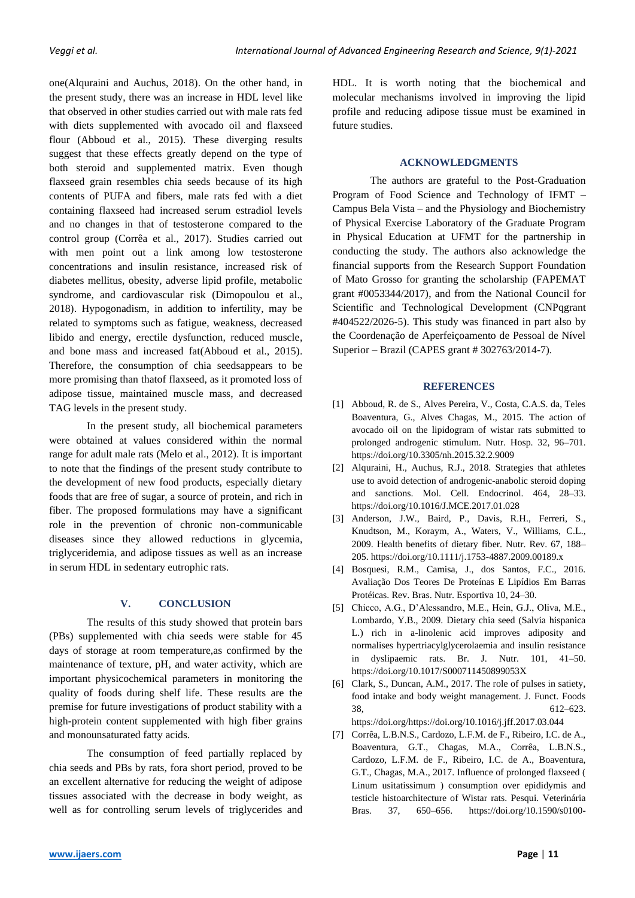one(Alquraini and Auchus, 2018). On the other hand, in the present study, there was an increase in HDL level like that observed in other studies carried out with male rats fed with diets supplemented with avocado oil and flaxseed flour (Abboud et al., 2015). These diverging results suggest that these effects greatly depend on the type of both steroid and supplemented matrix. Even though flaxseed grain resembles chia seeds because of its high contents of PUFA and fibers, male rats fed with a diet containing flaxseed had increased serum estradiol levels and no changes in that of testosterone compared to the control group (Corrêa et al., 2017). Studies carried out with men point out a link among low testosterone concentrations and insulin resistance, increased risk of diabetes mellitus, obesity, adverse lipid profile, metabolic syndrome, and cardiovascular risk (Dimopoulou et al., 2018). Hypogonadism, in addition to infertility, may be related to symptoms such as fatigue, weakness, decreased libido and energy, erectile dysfunction, reduced muscle, and bone mass and increased fat(Abboud et al., 2015). Therefore, the consumption of chia seedsappears to be more promising than thatof flaxseed, as it promoted loss of adipose tissue, maintained muscle mass, and decreased TAG levels in the present study.

In the present study, all biochemical parameters were obtained at values considered within the normal range for adult male rats (Melo et al., 2012). It is important to note that the findings of the present study contribute to the development of new food products, especially dietary foods that are free of sugar, a source of protein, and rich in fiber. The proposed formulations may have a significant role in the prevention of chronic non-communicable diseases since they allowed reductions in glycemia, triglyceridemia, and adipose tissues as well as an increase in serum HDL in sedentary eutrophic rats.

# **V. CONCLUSION**

The results of this study showed that protein bars (PBs) supplemented with chia seeds were stable for 45 days of storage at room temperature,as confirmed by the maintenance of texture, pH, and water activity, which are important physicochemical parameters in monitoring the quality of foods during shelf life. These results are the premise for future investigations of product stability with a high-protein content supplemented with high fiber grains and monounsaturated fatty acids.

The consumption of feed partially replaced by chia seeds and PBs by rats, fora short period, proved to be an excellent alternative for reducing the weight of adipose tissues associated with the decrease in body weight, as well as for controlling serum levels of triglycerides and

HDL. It is worth noting that the biochemical and molecular mechanisms involved in improving the lipid profile and reducing adipose tissue must be examined in future studies.

# **ACKNOWLEDGMENTS**

The authors are grateful to the Post-Graduation Program of Food Science and Technology of IFMT – Campus Bela Vista – and the Physiology and Biochemistry of Physical Exercise Laboratory of the Graduate Program in Physical Education at UFMT for the partnership in conducting the study. The authors also acknowledge the financial supports from the Research Support Foundation of Mato Grosso for granting the scholarship (FAPEMAT grant #0053344/2017), and from the National Council for Scientific and Technological Development (CNPqgrant #404522/2026-5). This study was financed in part also by the Coordenação de Aperfeiçoamento de Pessoal de Nível Superior – Brazil (CAPES grant # 302763/2014-7).

## **REFERENCES**

- [1] Abboud, R. de S., Alves Pereira, V., Costa, C.A.S. da, Teles Boaventura, G., Alves Chagas, M., 2015. The action of avocado oil on the lipidogram of wistar rats submitted to prolonged androgenic stimulum. Nutr. Hosp. 32, 96–701. https://doi.org/10.3305/nh.2015.32.2.9009
- [2] Alquraini, H., Auchus, R.J., 2018. Strategies that athletes use to avoid detection of androgenic-anabolic steroid doping and sanctions. Mol. Cell. Endocrinol. 464, 28–33. https://doi.org/10.1016/J.MCE.2017.01.028
- [3] Anderson, J.W., Baird, P., Davis, R.H., Ferreri, S., Knudtson, M., Koraym, A., Waters, V., Williams, C.L., 2009. Health benefits of dietary fiber. Nutr. Rev. 67, 188– 205. https://doi.org/10.1111/j.1753-4887.2009.00189.x
- [4] Bosquesi, R.M., Camisa, J., dos Santos, F.C., 2016. Avaliação Dos Teores De Proteínas E Lipídios Em Barras Protéicas. Rev. Bras. Nutr. Esportiva 10, 24–30.
- [5] Chicco, A.G., D'Alessandro, M.E., Hein, G.J., Oliva, M.E., Lombardo, Y.B., 2009. Dietary chia seed (Salvia hispanica L.) rich in a-linolenic acid improves adiposity and normalises hypertriacylglycerolaemia and insulin resistance in dyslipaemic rats. Br. J. Nutr. 101, 41–50. https://doi.org/10.1017/S000711450899053X
- [6] Clark, S., Duncan, A.M., 2017. The role of pulses in satiety, food intake and body weight management. J. Funct. Foods 38, 612–623. https://doi.org/https://doi.org/10.1016/j.jff.2017.03.044

[7] Corrêa, L.B.N.S., Cardozo, L.F.M. de F., Ribeiro, I.C. de A., Boaventura, G.T., Chagas, M.A., Corrêa, L.B.N.S., Cardozo, L.F.M. de F., Ribeiro, I.C. de A., Boaventura, G.T., Chagas, M.A., 2017. Influence of prolonged flaxseed ( Linum usitatissimum ) consumption over epididymis and testicle histoarchitecture of Wistar rats. Pesqui. Veterinária Bras. 37, 650–656. https://doi.org/10.1590/s0100